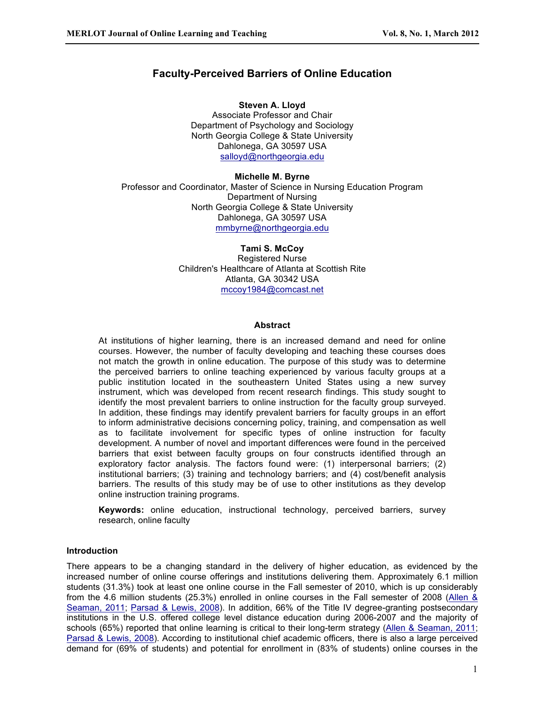# **Faculty-Perceived Barriers of Online Education**

**Steven A. Lloyd** Associate Professor and Chair Department of Psychology and Sociology North Georgia College & State University Dahlonega, GA 30597 USA salloyd@northgeorgia.edu

# **Michelle M. Byrne**

Professor and Coordinator, Master of Science in Nursing Education Program Department of Nursing North Georgia College & State University Dahlonega, GA 30597 USA mmbyrne@northgeorgia.edu

> **Tami S. McCoy** Registered Nurse Children's Healthcare of Atlanta at Scottish Rite Atlanta, GA 30342 USA mccoy1984@comcast.net

#### **Abstract**

At institutions of higher learning, there is an increased demand and need for online courses. However, the number of faculty developing and teaching these courses does not match the growth in online education. The purpose of this study was to determine the perceived barriers to online teaching experienced by various faculty groups at a public institution located in the southeastern United States using a new survey instrument, which was developed from recent research findings. This study sought to identify the most prevalent barriers to online instruction for the faculty group surveyed. In addition, these findings may identify prevalent barriers for faculty groups in an effort to inform administrative decisions concerning policy, training, and compensation as well as to facilitate involvement for specific types of online instruction for faculty development. A number of novel and important differences were found in the perceived barriers that exist between faculty groups on four constructs identified through an exploratory factor analysis. The factors found were: (1) interpersonal barriers; (2) institutional barriers; (3) training and technology barriers; and (4) cost/benefit analysis barriers. The results of this study may be of use to other institutions as they develop online instruction training programs.

**Keywords:** online education, instructional technology, perceived barriers, survey research, online faculty

# **Introduction**

There appears to be a changing standard in the delivery of higher education, as evidenced by the increased number of online course offerings and institutions delivering them. Approximately 6.1 million students (31.3%) took at least one online course in the Fall semester of 2010, which is up considerably from the 4.6 million students (25.3%) enrolled in online courses in the Fall semester of 2008 (Allen & Seaman, 2011; Parsad & Lewis, 2008). In addition, 66% of the Title IV degree-granting postsecondary institutions in the U.S. offered college level distance education during 2006-2007 and the majority of schools (65%) reported that online learning is critical to their long-term strategy (Allen & Seaman, 2011; Parsad & Lewis, 2008). According to institutional chief academic officers, there is also a large perceived demand for (69% of students) and potential for enrollment in (83% of students) online courses in the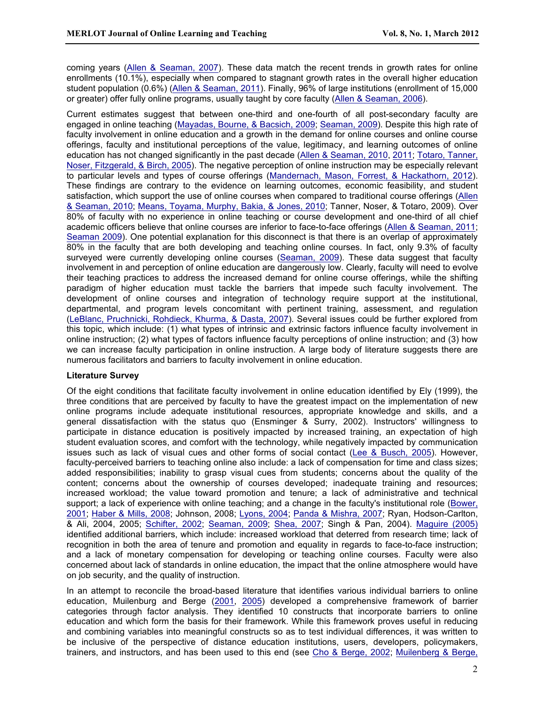coming years (Allen & Seaman, 2007). These data match the recent trends in growth rates for online enrollments (10.1%), especially when compared to stagnant growth rates in the overall higher education student population (0.6%) (Allen & Seaman, 2011). Finally, 96% of large institutions (enrollment of 15,000 or greater) offer fully online programs, usually taught by core faculty (Allen & Seaman, 2006).

Current estimates suggest that between one-third and one-fourth of all post-secondary faculty are engaged in online teaching (Mayadas, Bourne, & Bacsich, 2009; Seaman, 2009). Despite this high rate of faculty involvement in online education and a growth in the demand for online courses and online course offerings, faculty and institutional perceptions of the value, legitimacy, and learning outcomes of online education has not changed significantly in the past decade (Allen & Seaman, 2010, 2011; Totaro, Tanner, Noser, Fitzgerald, & Birch, 2005). The negative perception of online instruction may be especially relevant to particular levels and types of course offerings (Mandernach, Mason, Forrest, & Hackathorn, 2012). These findings are contrary to the evidence on learning outcomes, economic feasibility, and student satisfaction, which support the use of online courses when compared to traditional course offerings (Allen & Seaman, 2010; Means, Toyama, Murphy, Bakia, & Jones, 2010; Tanner, Noser, & Totaro, 2009). Over 80% of faculty with no experience in online teaching or course development and one-third of all chief academic officers believe that online courses are inferior to face-to-face offerings (Allen & Seaman, 2011; Seaman 2009). One potential explanation for this disconnect is that there is an overlap of approximately 80% in the faculty that are both developing and teaching online courses. In fact, only 9.3% of faculty surveyed were currently developing online courses (Seaman, 2009). These data suggest that faculty involvement in and perception of online education are dangerously low. Clearly, faculty will need to evolve their teaching practices to address the increased demand for online course offerings, while the shifting paradigm of higher education must tackle the barriers that impede such faculty involvement. The development of online courses and integration of technology require support at the institutional, departmental, and program levels concomitant with pertinent training, assessment, and regulation (LeBlanc, Pruchnicki, Rohdieck, Khurma, & Dasta, 2007). Several issues could be further explored from this topic, which include: (1) what types of intrinsic and extrinsic factors influence faculty involvement in online instruction; (2) what types of factors influence faculty perceptions of online instruction; and (3) how we can increase faculty participation in online instruction. A large body of literature suggests there are numerous facilitators and barriers to faculty involvement in online education.

# **Literature Survey**

Of the eight conditions that facilitate faculty involvement in online education identified by Ely (1999), the three conditions that are perceived by faculty to have the greatest impact on the implementation of new online programs include adequate institutional resources, appropriate knowledge and skills, and a general dissatisfaction with the status quo (Ensminger & Surry, 2002). Instructors' willingness to participate in distance education is positively impacted by increased training, an expectation of high student evaluation scores, and comfort with the technology, while negatively impacted by communication issues such as lack of visual cues and other forms of social contact (Lee & Busch, 2005). However, faculty-perceived barriers to teaching online also include: a lack of compensation for time and class sizes; added responsibilities; inability to grasp visual cues from students; concerns about the quality of the content; concerns about the ownership of courses developed; inadequate training and resources; increased workload; the value toward promotion and tenure; a lack of administrative and technical support; a lack of experience with online teaching; and a change in the faculty's institutional role (Bower, 2001; Haber & Mills, 2008; Johnson, 2008; Lyons, 2004; Panda & Mishra, 2007; Ryan, Hodson-Carlton, & Ali, 2004, 2005; Schifter, 2002; Seaman, 2009; Shea, 2007; Singh & Pan, 2004). Maguire (2005) identified additional barriers, which include: increased workload that deterred from research time; lack of recognition in both the area of tenure and promotion and equality in regards to face-to-face instruction; and a lack of monetary compensation for developing or teaching online courses. Faculty were also concerned about lack of standards in online education, the impact that the online atmosphere would have on job security, and the quality of instruction.

In an attempt to reconcile the broad-based literature that identifies various individual barriers to online education, Muilenburg and Berge (2001, 2005) developed a comprehensive framework of barrier categories through factor analysis. They identified 10 constructs that incorporate barriers to online education and which form the basis for their framework. While this framework proves useful in reducing and combining variables into meaningful constructs so as to test individual differences, it was written to be inclusive of the perspective of distance education institutions, users, developers, policymakers, trainers, and instructors, and has been used to this end (see Cho & Berge, 2002; Muilenberg & Berge,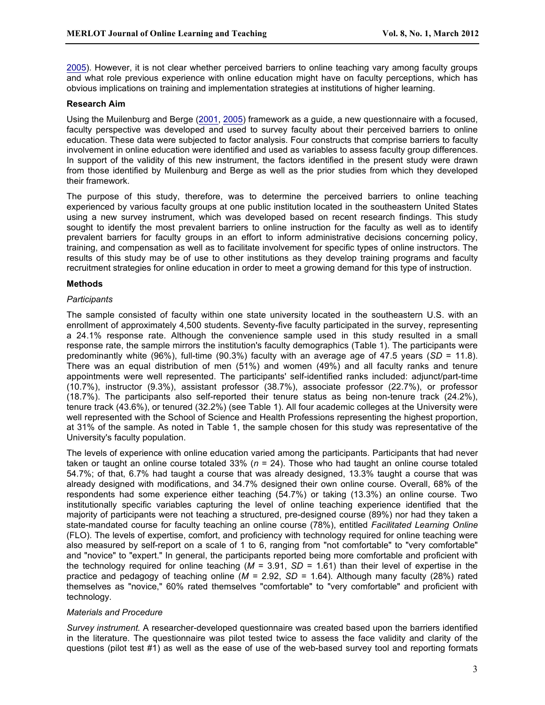2005). However, it is not clear whether perceived barriers to online teaching vary among faculty groups and what role previous experience with online education might have on faculty perceptions, which has obvious implications on training and implementation strategies at institutions of higher learning.

#### **Research Aim**

Using the Muilenburg and Berge (2001, 2005) framework as a guide, a new questionnaire with a focused, faculty perspective was developed and used to survey faculty about their perceived barriers to online education. These data were subjected to factor analysis. Four constructs that comprise barriers to faculty involvement in online education were identified and used as variables to assess faculty group differences. In support of the validity of this new instrument, the factors identified in the present study were drawn from those identified by Muilenburg and Berge as well as the prior studies from which they developed their framework.

The purpose of this study, therefore, was to determine the perceived barriers to online teaching experienced by various faculty groups at one public institution located in the southeastern United States using a new survey instrument, which was developed based on recent research findings. This study sought to identify the most prevalent barriers to online instruction for the faculty as well as to identify prevalent barriers for faculty groups in an effort to inform administrative decisions concerning policy, training, and compensation as well as to facilitate involvement for specific types of online instructors. The results of this study may be of use to other institutions as they develop training programs and faculty recruitment strategies for online education in order to meet a growing demand for this type of instruction.

#### **Methods**

#### *Participants*

The sample consisted of faculty within one state university located in the southeastern U.S. with an enrollment of approximately 4,500 students. Seventy-five faculty participated in the survey, representing a 24.1% response rate. Although the convenience sample used in this study resulted in a small response rate, the sample mirrors the institution's faculty demographics (Table 1). The participants were predominantly white (96%), full-time (90.3%) faculty with an average age of 47.5 years (*SD* = 11.8). There was an equal distribution of men (51%) and women (49%) and all faculty ranks and tenure appointments were well represented. The participants' self-identified ranks included: adjunct/part-time (10.7%), instructor (9.3%), assistant professor (38.7%), associate professor (22.7%), or professor (18.7%). The participants also self-reported their tenure status as being non-tenure track (24.2%), tenure track (43.6%), or tenured (32.2%) (see Table 1). All four academic colleges at the University were well represented with the School of Science and Health Professions representing the highest proportion, at 31% of the sample. As noted in Table 1, the sample chosen for this study was representative of the University's faculty population.

The levels of experience with online education varied among the participants. Participants that had never taken or taught an online course totaled 33% (*n* = 24). Those who had taught an online course totaled 54.7%; of that, 6.7% had taught a course that was already designed, 13.3% taught a course that was already designed with modifications, and 34.7% designed their own online course. Overall, 68% of the respondents had some experience either teaching (54.7%) or taking (13.3%) an online course. Two institutionally specific variables capturing the level of online teaching experience identified that the majority of participants were not teaching a structured, pre-designed course (89%) nor had they taken a state-mandated course for faculty teaching an online course (78%), entitled *Facilitated Learning Online* (FLO). The levels of expertise, comfort, and proficiency with technology required for online teaching were also measured by self-report on a scale of 1 to 6, ranging from "not comfortable" to "very comfortable" and "novice" to "expert." In general, the participants reported being more comfortable and proficient with the technology required for online teaching ( $M = 3.91$ ,  $SD = 1.61$ ) than their level of expertise in the practice and pedagogy of teaching online (*M* = 2.92, *SD* = 1.64). Although many faculty (28%) rated themselves as "novice," 60% rated themselves "comfortable" to "very comfortable" and proficient with technology.

# *Materials and Procedure*

*Survey instrument.* A researcher-developed questionnaire was created based upon the barriers identified in the literature. The questionnaire was pilot tested twice to assess the face validity and clarity of the questions (pilot test #1) as well as the ease of use of the web-based survey tool and reporting formats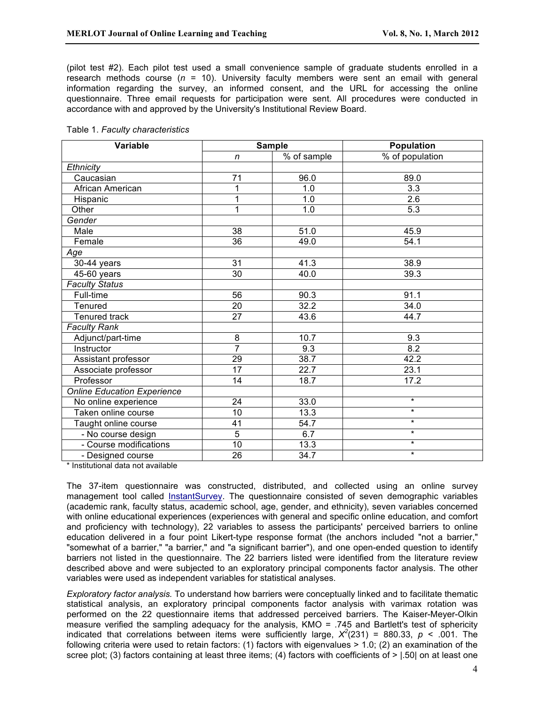(pilot test #2). Each pilot test used a small convenience sample of graduate students enrolled in a research methods course (*n* = 10). University faculty members were sent an email with general information regarding the survey, an informed consent, and the URL for accessing the online questionnaire. Three email requests for participation were sent. All procedures were conducted in accordance with and approved by the University's Institutional Review Board.

| Variable<br><b>Sample</b>          |                 | Population  |                 |
|------------------------------------|-----------------|-------------|-----------------|
|                                    | n               | % of sample | % of population |
| Ethnicity                          |                 |             |                 |
| Caucasian                          | 71              | 96.0        | 89.0            |
| African American                   | 1               | 1.0         | 3.3             |
| Hispanic                           | 1               | 1.0         | 2.6             |
| Other                              | 1               | 1.0         | 5.3             |
| Gender                             |                 |             |                 |
| Male                               | 38              | 51.0        | 45.9            |
| Female                             | 36              | 49.0        | 54.1            |
| Age                                |                 |             |                 |
| 30-44 years                        | 31              | 41.3        | 38.9            |
| 45-60 years                        | 30              | 40.0        | 39.3            |
| <b>Faculty Status</b>              |                 |             |                 |
| Full-time                          | 56              | 90.3        | 91.1            |
| Tenured                            | 20              | 32.2        | 34.0            |
| Tenured track                      | 27              | 43.6        | 44.7            |
| <b>Faculty Rank</b>                |                 |             |                 |
| Adjunct/part-time                  | 8               | 10.7        | 9.3             |
| Instructor                         | $\overline{7}$  | 9.3         | 8.2             |
| Assistant professor                | 29              | 38.7        | 42.2            |
| Associate professor                | $\overline{17}$ | 22.7        | 23.1            |
| Professor                          | 14              | 18.7        | 17.2            |
| <b>Online Education Experience</b> |                 |             |                 |
| No online experience               | 24              | 33.0        | $\star$         |
| Taken online course                | 10              | 13.3        | $\star$         |
| Taught online course               | 41              | 54.7        | $\star$         |
| - No course design                 | $\overline{5}$  | 6.7         | $\star$         |
| - Course modifications             | $\overline{10}$ | 13.3        | $\star$         |
| - Designed course                  | 26              | 34.7        | $\star$         |

\* Institutional data not available

The 37-item questionnaire was constructed, distributed, and collected using an online survey management tool called InstantSurvey. The questionnaire consisted of seven demographic variables (academic rank, faculty status, academic school, age, gender, and ethnicity), seven variables concerned with online educational experiences (experiences with general and specific online education, and comfort and proficiency with technology), 22 variables to assess the participants' perceived barriers to online education delivered in a four point Likert-type response format (the anchors included "not a barrier," "somewhat of a barrier," "a barrier," and "a significant barrier"), and one open-ended question to identify barriers not listed in the questionnaire. The 22 barriers listed were identified from the literature review described above and were subjected to an exploratory principal components factor analysis. The other variables were used as independent variables for statistical analyses.

*Exploratory factor analysis.* To understand how barriers were conceptually linked and to facilitate thematic statistical analysis, an exploratory principal components factor analysis with varimax rotation was performed on the 22 questionnaire items that addressed perceived barriers. The Kaiser-Meyer-Olkin measure verified the sampling adequacy for the analysis, KMO = .745 and Bartlett's test of sphericity indicated that correlations between items were sufficiently large,  $X^2(231) = 880.33$ ,  $p < 0.001$ . The following criteria were used to retain factors: (1) factors with eigenvalues > 1.0; (2) an examination of the scree plot; (3) factors containing at least three items; (4) factors with coefficients of  $> 1.50$  on at least one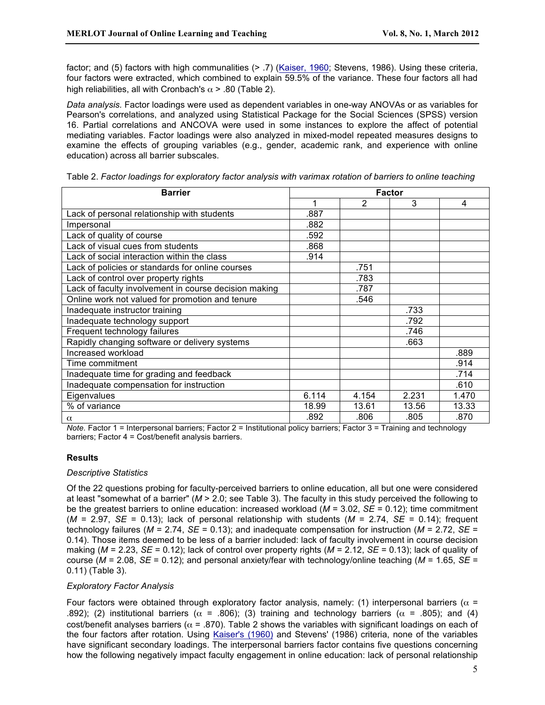factor; and (5) factors with high communalities (> .7) (Kaiser, 1960; Stevens, 1986). Using these criteria, four factors were extracted, which combined to explain 59.5% of the variance. These four factors all had high reliabilities, all with Cronbach's  $\alpha$  > .80 (Table 2).

*Data analysis.* Factor loadings were used as dependent variables in one-way ANOVAs or as variables for Pearson's correlations, and analyzed using Statistical Package for the Social Sciences (SPSS) version 16. Partial correlations and ANCOVA were used in some instances to explore the affect of potential mediating variables. Factor loadings were also analyzed in mixed-model repeated measures designs to examine the effects of grouping variables (e.g., gender, academic rank, and experience with online education) across all barrier subscales.

| <b>Barrier</b>                                        | <b>Factor</b> |       |       |       |
|-------------------------------------------------------|---------------|-------|-------|-------|
|                                                       | 1             | 2     | 3     | 4     |
| Lack of personal relationship with students           | .887          |       |       |       |
| Impersonal                                            | .882          |       |       |       |
| Lack of quality of course                             | .592          |       |       |       |
| Lack of visual cues from students                     | .868          |       |       |       |
| Lack of social interaction within the class           | .914          |       |       |       |
| Lack of policies or standards for online courses      |               | .751  |       |       |
| Lack of control over property rights                  |               | .783  |       |       |
| Lack of faculty involvement in course decision making |               | .787  |       |       |
| Online work not valued for promotion and tenure       |               | .546  |       |       |
| Inadequate instructor training                        |               |       | .733  |       |
| Inadequate technology support                         |               |       | .792  |       |
| Frequent technology failures                          |               |       | .746  |       |
| Rapidly changing software or delivery systems         |               |       | .663  |       |
| Increased workload                                    |               |       |       | .889  |
| Time commitment                                       |               |       |       | .914  |
| Inadequate time for grading and feedback              |               |       |       | .714  |
| Inadequate compensation for instruction               |               |       |       | .610  |
| Eigenvalues                                           | 6.114         | 4.154 | 2.231 | 1.470 |
| % of variance                                         | 18.99         | 13.61 | 13.56 | 13.33 |
| $\alpha$                                              | .892          | .806  | .805  | .870  |

Table 2. *Factor loadings for exploratory factor analysis with varimax rotation of barriers to online teaching*

*Note.* Factor 1 = Interpersonal barriers; Factor 2 = Institutional policy barriers; Factor 3 = Training and technology barriers; Factor 4 = Cost/benefit analysis barriers.

# **Results**

# *Descriptive Statistics*

Of the 22 questions probing for faculty-perceived barriers to online education, all but one were considered at least "somewhat of a barrier" (*M* > 2.0; see Table 3). The faculty in this study perceived the following to be the greatest barriers to online education: increased workload (*M* = 3.02, *SE* = 0.12); time commitment ( $M = 2.97$ , *SE* = 0.13); lack of personal relationship with students ( $M = 2.74$ , *SE* = 0.14); frequent technology failures (*M* = 2.74, *SE* = 0.13); and inadequate compensation for instruction (*M* = 2.72, *SE* = 0.14). Those items deemed to be less of a barrier included: lack of faculty involvement in course decision making (*M* = 2.23, *SE* = 0.12); lack of control over property rights (*M* = 2.12, *SE* = 0.13); lack of quality of course (*M* = 2.08, *SE* = 0.12); and personal anxiety/fear with technology/online teaching (*M* = 1.65, *SE* = 0.11) (Table 3).

# *Exploratory Factor Analysis*

Four factors were obtained through exploratory factor analysis, namely: (1) interpersonal barriers ( $\alpha$  = .892); (2) institutional barriers ( $\alpha$  = .806); (3) training and technology barriers ( $\alpha$  = .805); and (4) cost/benefit analyses barriers ( $\alpha$  = .870). Table 2 shows the variables with significant loadings on each of the four factors after rotation. Using Kaiser's (1960) and Stevens' (1986) criteria, none of the variables have significant secondary loadings. The interpersonal barriers factor contains five questions concerning how the following negatively impact faculty engagement in online education: lack of personal relationship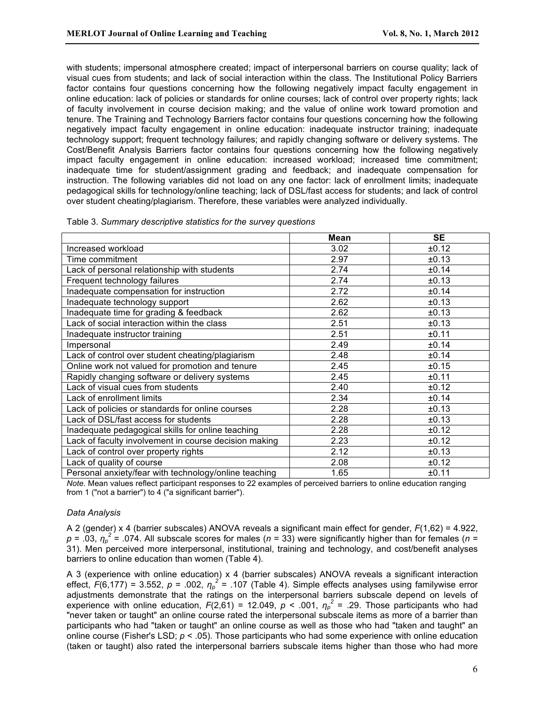with students; impersonal atmosphere created; impact of interpersonal barriers on course quality; lack of visual cues from students; and lack of social interaction within the class. The Institutional Policy Barriers factor contains four questions concerning how the following negatively impact faculty engagement in online education: lack of policies or standards for online courses; lack of control over property rights; lack of faculty involvement in course decision making; and the value of online work toward promotion and tenure. The Training and Technology Barriers factor contains four questions concerning how the following negatively impact faculty engagement in online education: inadequate instructor training; inadequate technology support; frequent technology failures; and rapidly changing software or delivery systems. The Cost/Benefit Analysis Barriers factor contains four questions concerning how the following negatively impact faculty engagement in online education: increased workload; increased time commitment; inadequate time for student/assignment grading and feedback; and inadequate compensation for instruction. The following variables did not load on any one factor: lack of enrollment limits; inadequate pedagogical skills for technology/online teaching; lack of DSL/fast access for students; and lack of control over student cheating/plagiarism. Therefore, these variables were analyzed individually.

|                                                       | <b>Mean</b> | <b>SE</b> |
|-------------------------------------------------------|-------------|-----------|
| Increased workload                                    | 3.02        | ±0.12     |
| Time commitment                                       | 2.97        | ±0.13     |
| Lack of personal relationship with students           | 2.74        | ±0.14     |
| Frequent technology failures                          | 2.74        | ±0.13     |
| Inadequate compensation for instruction               | 2.72        | ±0.14     |
| Inadequate technology support                         | 2.62        | ±0.13     |
| Inadequate time for grading & feedback                | 2.62        | ±0.13     |
| Lack of social interaction within the class           | 2.51        | ±0.13     |
| Inadequate instructor training                        | 2.51        | ±0.11     |
| Impersonal                                            | 2.49        | ±0.14     |
| Lack of control over student cheating/plagiarism      | 2.48        | ±0.14     |
| Online work not valued for promotion and tenure       | 2.45        | ±0.15     |
| Rapidly changing software or delivery systems         | 2.45        | ±0.11     |
| Lack of visual cues from students                     | 2.40        | ±0.12     |
| Lack of enrollment limits                             | 2.34        | ±0.14     |
| Lack of policies or standards for online courses      | 2.28        | ±0.13     |
| Lack of DSL/fast access for students                  | 2.28        | ±0.13     |
| Inadequate pedagogical skills for online teaching     | 2.28        | ±0.12     |
| Lack of faculty involvement in course decision making | 2.23        | ±0.12     |
| Lack of control over property rights                  | 2.12        | ±0.13     |
| Lack of quality of course                             | 2.08        | ±0.12     |
| Personal anxiety/fear with technology/online teaching | 1.65        | ±0.11     |

Table 3. *Summary descriptive statistics for the survey questions*

*Note.* Mean values reflect participant responses to 22 examples of perceived barriers to online education ranging from 1 ("not a barrier") to 4 ("a significant barrier").

#### *Data Analysis*

A 2 (gender) x 4 (barrier subscales) ANOVA reveals a significant main effect for gender, *F*(1,62) = 4.922, *p* = .03, *η<sup>p</sup> <sup>2</sup>* = .074. All subscale scores for males (*n* = 33) were significantly higher than for females (*n* = 31). Men perceived more interpersonal, institutional, training and technology, and cost/benefit analyses barriers to online education than women (Table 4).

A 3 (experience with online education) x 4 (barrier subscales) ANOVA reveals a significant interaction effect, *F*(6,177) = 3.552, *p* = .002, *η<sup>p</sup> <sup>2</sup>* = .107 (Table 4). Simple effects analyses using familywise error adjustments demonstrate that the ratings on the interpersonal barriers subscale depend on levels of experience with online education,  $F(2,61) = 12.049$ ,  $p < .001$ ,  $\eta_p^2 = .29$ . Those participants who had "never taken or taught" an online course rated the interpersonal subscale items as more of a barrier than participants who had "taken or taught" an online course as well as those who had "taken and taught" an online course (Fisher's LSD; *p* < .05). Those participants who had some experience with online education (taken or taught) also rated the interpersonal barriers subscale items higher than those who had more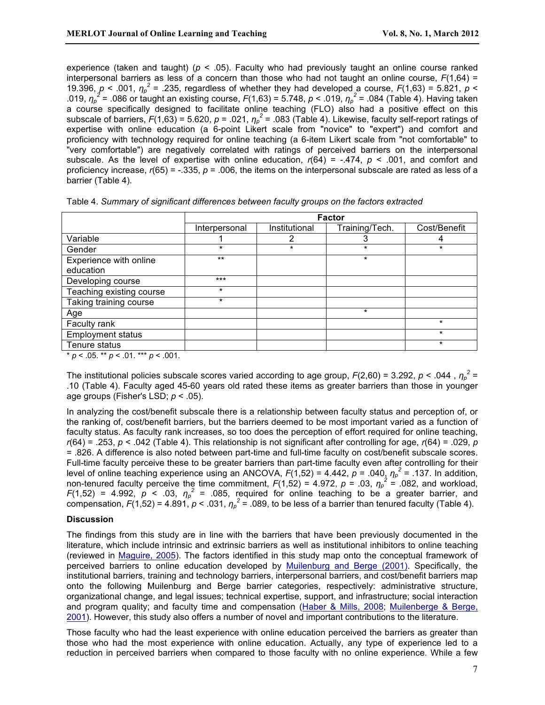experience (taken and taught) (*p* < .05). Faculty who had previously taught an online course ranked interpersonal barriers as less of a concern than those who had not taught an online course, *F*(1,64) = 19.396,  $p < .001$ ,  $\eta_p^2 = .235$ , regardless of whether they had developed a course,  $F(1,63) = 5.821$ ,  $p <$ .019, *η<sup>p</sup> <sup>2</sup>* = .086 or taught an existing course, *F*(1,63) = 5.748, *p* < .019, *η<sup>p</sup> <sup>2</sup>* = .084 (Table 4). Having taken a course specifically designed to facilitate online teaching (FLO) also had a positive effect on this subscale of barriers,  $F(1,63) = 5.620$ ,  $p = .021$ ,  $\eta_p^2 = .083$  (Table 4). Likewise, faculty self-report ratings of expertise with online education (a 6-point Likert scale from "novice" to "expert") and comfort and proficiency with technology required for online teaching (a 6-item Likert scale from "not comfortable" to "very comfortable") are negatively correlated with ratings of perceived barriers on the interpersonal subscale. As the level of expertise with online education,  $r(64) = -0.474$ ,  $p < 0.001$ , and comfort and proficiency increase, *r*(65) = -.335, *p* = .006, the items on the interpersonal subscale are rated as less of a barrier (Table 4).

|                                     | <b>Factor</b> |               |                |              |  |
|-------------------------------------|---------------|---------------|----------------|--------------|--|
|                                     | Interpersonal | Institutional | Training/Tech. | Cost/Benefit |  |
| Variable                            |               |               | 3              | 4            |  |
| Gender                              | $\star$       | $\ast$        | $\star$        | $\ast$       |  |
| Experience with online              | $***$         |               | $\star$        |              |  |
| education                           |               |               |                |              |  |
| Developing course                   | ***           |               |                |              |  |
| Teaching existing course            | $\star$       |               |                |              |  |
| Taking training course              | $\star$       |               |                |              |  |
| Age                                 |               |               | $\star$        |              |  |
| Faculty rank                        |               |               |                | $\star$      |  |
| <b>Employment status</b>            |               |               |                | $\star$      |  |
| Tenure status                       |               |               |                | $\star$      |  |
| $* - 0.05$ $* - 0.4$ $* + 0.2$ 0.04 |               |               |                |              |  |

\* *p* < .05. \*\* *p* < .01. \*\*\* *p* < .001.

The institutional policies subscale scores varied according to age group,  $F(2,60) = 3.292$ ,  $p < .044$ ,  $\eta_p^2 =$ .10 (Table 4). Faculty aged 45-60 years old rated these items as greater barriers than those in younger age groups (Fisher's LSD; *p* < .05).

In analyzing the cost/benefit subscale there is a relationship between faculty status and perception of, or the ranking of, cost/benefit barriers, but the barriers deemed to be most important varied as a function of faculty status. As faculty rank increases, so too does the perception of effort required for online teaching, *r*(64) = .253, *p* < .042 (Table 4). This relationship is not significant after controlling for age, *r*(64) = .029, *p*  = .826. A difference is also noted between part-time and full-time faculty on cost/benefit subscale scores. Full-time faculty perceive these to be greater barriers than part-time faculty even after controlling for their level of online teaching experience using an ANCOVA,  $F(1,52) = 4.442$ ,  $p = .040$ ,  $\eta_p^2 = .137$ . In addition, non-tenured faculty perceive the time commitment,  $F(1,52) = 4.972$ ,  $p = .03$ ,  $\eta_p^2 = .082$ , and workload, *F*(1,52) = 4.992,  $p \lt 0.03$ ,  $\eta_p^2$  = .085, required for online teaching to be a greater barrier, and compensation,  $F(1,52) = 4.891$ ,  $p < .031$ ,  $\eta_p^2 = .089$ , to be less of a barrier than tenured faculty (Table 4).

# **Discussion**

The findings from this study are in line with the barriers that have been previously documented in the literature, which include intrinsic and extrinsic barriers as well as institutional inhibitors to online teaching (reviewed in Maguire, 2005). The factors identified in this study map onto the conceptual framework of perceived barriers to online education developed by Muilenburg and Berge (2001). Specifically, the institutional barriers, training and technology barriers, interpersonal barriers, and cost/benefit barriers map onto the following Muilenburg and Berge barrier categories, respectively: administrative structure, organizational change, and legal issues; technical expertise, support, and infrastructure; social interaction and program quality; and faculty time and compensation (Haber & Mills, 2008; Muilenberge & Berge, 2001). However, this study also offers a number of novel and important contributions to the literature.

Those faculty who had the least experience with online education perceived the barriers as greater than those who had the most experience with online education. Actually, any type of experience led to a reduction in perceived barriers when compared to those faculty with no online experience. While a few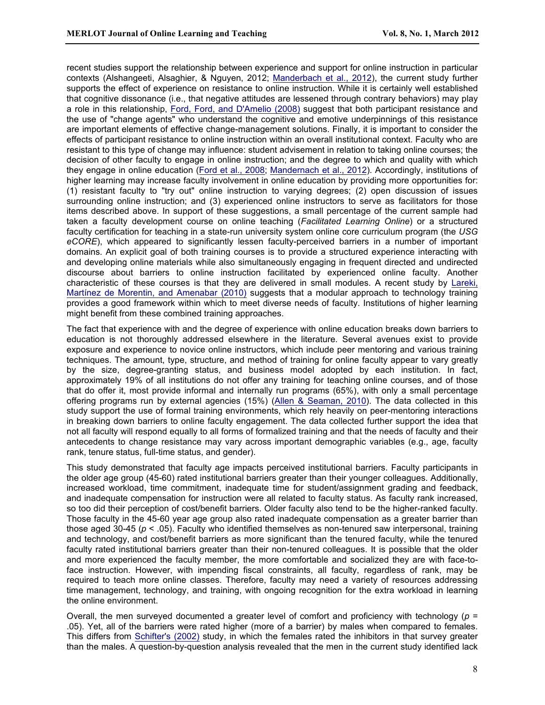recent studies support the relationship between experience and support for online instruction in particular contexts (Alshangeeti, Alsaghier, & Nguyen, 2012; Manderbach et al., 2012), the current study further supports the effect of experience on resistance to online instruction. While it is certainly well established that cognitive dissonance (i.e., that negative attitudes are lessened through contrary behaviors) may play a role in this relationship, Ford, Ford, and D'Amelio (2008) suggest that both participant resistance and the use of "change agents" who understand the cognitive and emotive underpinnings of this resistance are important elements of effective change-management solutions. Finally, it is important to consider the effects of participant resistance to online instruction within an overall institutional context. Faculty who are resistant to this type of change may influence: student advisement in relation to taking online courses; the decision of other faculty to engage in online instruction; and the degree to which and quality with which they engage in online education (Ford et al., 2008; Mandernach et al., 2012). Accordingly, institutions of higher learning may increase faculty involvement in online education by providing more opportunities for: (1) resistant faculty to "try out" online instruction to varying degrees; (2) open discussion of issues surrounding online instruction; and (3) experienced online instructors to serve as facilitators for those items described above. In support of these suggestions, a small percentage of the current sample had taken a faculty development course on online teaching (*Facilitated Learning Online*) or a structured faculty certification for teaching in a state-run university system online core curriculum program (the *USG eCORE*), which appeared to significantly lessen faculty-perceived barriers in a number of important domains. An explicit goal of both training courses is to provide a structured experience interacting with and developing online materials while also simultaneously engaging in frequent directed and undirected discourse about barriers to online instruction facilitated by experienced online faculty. Another characteristic of these courses is that they are delivered in small modules. A recent study by Lareki, Martínez de Morentin, and Amenabar (2010) suggests that a modular approach to technology training provides a good framework within which to meet diverse needs of faculty. Institutions of higher learning might benefit from these combined training approaches.

The fact that experience with and the degree of experience with online education breaks down barriers to education is not thoroughly addressed elsewhere in the literature. Several avenues exist to provide exposure and experience to novice online instructors, which include peer mentoring and various training techniques. The amount, type, structure, and method of training for online faculty appear to vary greatly by the size, degree-granting status, and business model adopted by each institution. In fact, approximately 19% of all institutions do not offer any training for teaching online courses, and of those that do offer it, most provide informal and internally run programs (65%), with only a small percentage offering programs run by external agencies (15%) (Allen & Seaman, 2010). The data collected in this study support the use of formal training environments, which rely heavily on peer-mentoring interactions in breaking down barriers to online faculty engagement. The data collected further support the idea that not all faculty will respond equally to all forms of formalized training and that the needs of faculty and their antecedents to change resistance may vary across important demographic variables (e.g., age, faculty rank, tenure status, full-time status, and gender).

This study demonstrated that faculty age impacts perceived institutional barriers. Faculty participants in the older age group (45-60) rated institutional barriers greater than their younger colleagues. Additionally, increased workload, time commitment, inadequate time for student/assignment grading and feedback, and inadequate compensation for instruction were all related to faculty status. As faculty rank increased, so too did their perception of cost/benefit barriers. Older faculty also tend to be the higher-ranked faculty. Those faculty in the 45-60 year age group also rated inadequate compensation as a greater barrier than those aged 30-45 ( $p < .05$ ). Faculty who identified themselves as non-tenured saw interpersonal, training and technology, and cost/benefit barriers as more significant than the tenured faculty, while the tenured faculty rated institutional barriers greater than their non-tenured colleagues. It is possible that the older and more experienced the faculty member, the more comfortable and socialized they are with face-toface instruction. However, with impending fiscal constraints, all faculty, regardless of rank, may be required to teach more online classes. Therefore, faculty may need a variety of resources addressing time management, technology, and training, with ongoing recognition for the extra workload in learning the online environment.

Overall, the men surveyed documented a greater level of comfort and proficiency with technology (*p* = .05). Yet, all of the barriers were rated higher (more of a barrier) by males when compared to females. This differs from Schifter's (2002) study, in which the females rated the inhibitors in that survey greater than the males. A question-by-question analysis revealed that the men in the current study identified lack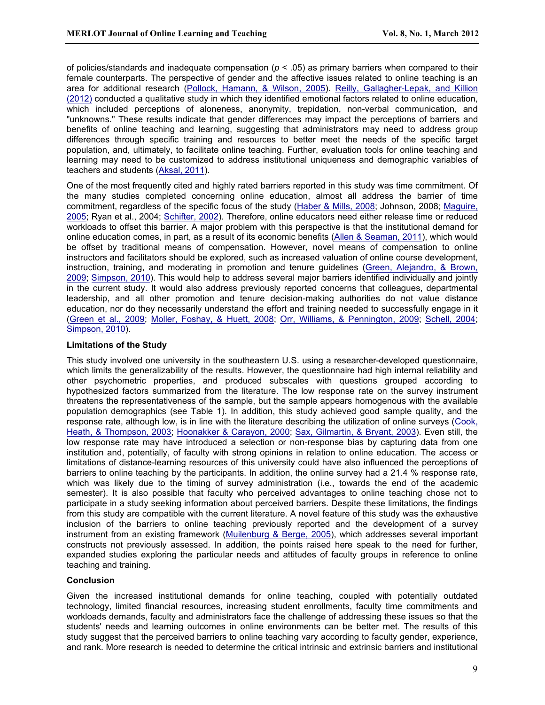of policies/standards and inadequate compensation (*p* < .05) as primary barriers when compared to their female counterparts. The perspective of gender and the affective issues related to online teaching is an area for additional research (Pollock, Hamann, & Wilson, 2005). Reilly, Gallagher-Lepak, and Killion (2012) conducted a qualitative study in which they identified emotional factors related to online education, which included perceptions of aloneness, anonymity, trepidation, non-verbal communication, and "unknowns." These results indicate that gender differences may impact the perceptions of barriers and benefits of online teaching and learning, suggesting that administrators may need to address group differences through specific training and resources to better meet the needs of the specific target population, and, ultimately, to facilitate online teaching. Further, evaluation tools for online teaching and learning may need to be customized to address institutional uniqueness and demographic variables of teachers and students (Aksal, 2011).

One of the most frequently cited and highly rated barriers reported in this study was time commitment. Of the many studies completed concerning online education, almost all address the barrier of time commitment, regardless of the specific focus of the study (Haber & Mills, 2008; Johnson, 2008; Maguire, 2005; Ryan et al., 2004; Schifter, 2002). Therefore, online educators need either release time or reduced workloads to offset this barrier. A major problem with this perspective is that the institutional demand for online education comes, in part, as a result of its economic benefits (Allen & Seaman, 2011), which would be offset by traditional means of compensation. However, novel means of compensation to online instructors and facilitators should be explored, such as increased valuation of online course development, instruction, training, and moderating in promotion and tenure guidelines (Green, Alejandro, & Brown, 2009; Simpson, 2010). This would help to address several major barriers identified individually and jointly in the current study. It would also address previously reported concerns that colleagues, departmental leadership, and all other promotion and tenure decision-making authorities do not value distance education, nor do they necessarily understand the effort and training needed to successfully engage in it (Green et al., 2009; Moller, Foshay, & Huett, 2008; Orr, Williams, & Pennington, 2009; Schell, 2004; Simpson, 2010).

# **Limitations of the Study**

This study involved one university in the southeastern U.S. using a researcher-developed questionnaire, which limits the generalizability of the results. However, the questionnaire had high internal reliability and other psychometric properties, and produced subscales with questions grouped according to hypothesized factors summarized from the literature. The low response rate on the survey instrument threatens the representativeness of the sample, but the sample appears homogenous with the available population demographics (see Table 1). In addition, this study achieved good sample quality, and the response rate, although low, is in line with the literature describing the utilization of online surveys (Cook, Heath, & Thompson, 2003; Hoonakker & Carayon, 2000; Sax, Gilmartin, & Bryant, 2003). Even still, the low response rate may have introduced a selection or non-response bias by capturing data from one institution and, potentially, of faculty with strong opinions in relation to online education. The access or limitations of distance-learning resources of this university could have also influenced the perceptions of barriers to online teaching by the participants. In addition, the online survey had a 21.4 % response rate, which was likely due to the timing of survey administration (i.e., towards the end of the academic semester). It is also possible that faculty who perceived advantages to online teaching chose not to participate in a study seeking information about perceived barriers. Despite these limitations, the findings from this study are compatible with the current literature. A novel feature of this study was the exhaustive inclusion of the barriers to online teaching previously reported and the development of a survey instrument from an existing framework (Muilenburg & Berge, 2005), which addresses several important constructs not previously assessed. In addition, the points raised here speak to the need for further, expanded studies exploring the particular needs and attitudes of faculty groups in reference to online teaching and training.

# **Conclusion**

Given the increased institutional demands for online teaching, coupled with potentially outdated technology, limited financial resources, increasing student enrollments, faculty time commitments and workloads demands, faculty and administrators face the challenge of addressing these issues so that the students' needs and learning outcomes in online environments can be better met. The results of this study suggest that the perceived barriers to online teaching vary according to faculty gender, experience, and rank. More research is needed to determine the critical intrinsic and extrinsic barriers and institutional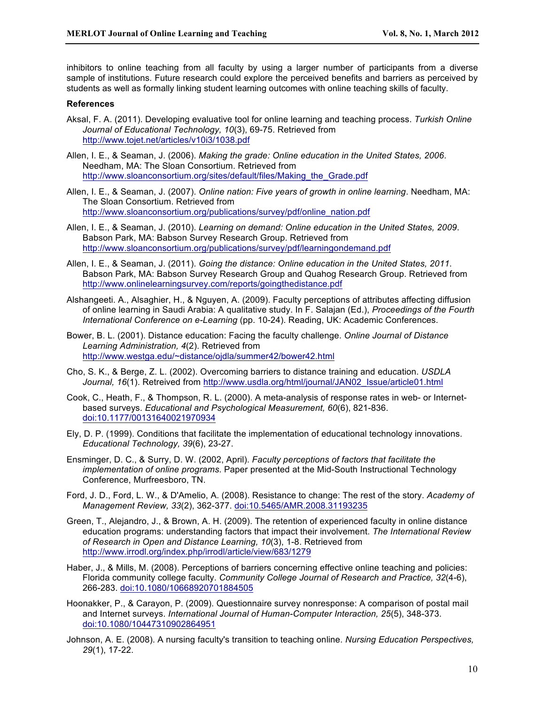inhibitors to online teaching from all faculty by using a larger number of participants from a diverse sample of institutions. Future research could explore the perceived benefits and barriers as perceived by students as well as formally linking student learning outcomes with online teaching skills of faculty.

#### **References**

- Aksal, F. A. (2011). Developing evaluative tool for online learning and teaching process. *Turkish Online Journal of Educational Technology, 10*(3), 69-75. Retrieved from http://www.tojet.net/articles/v10i3/1038.pdf
- Allen, I. E., & Seaman, J. (2006). *Making the grade: Online education in the United States, 2006*. Needham, MA: The Sloan Consortium. Retrieved from http://www.sloanconsortium.org/sites/default/files/Making\_the\_Grade.pdf
- Allen, I. E., & Seaman, J. (2007). *Online nation: Five years of growth in online learning*. Needham, MA: The Sloan Consortium. Retrieved from http://www.sloanconsortium.org/publications/survey/pdf/online\_nation.pdf
- Allen, I. E., & Seaman, J. (2010). *Learning on demand: Online education in the United States, 2009*. Babson Park, MA: Babson Survey Research Group. Retrieved from http://www.sloanconsortium.org/publications/survey/pdf/learningondemand.pdf
- Allen, I. E., & Seaman, J. (2011). *Going the distance: Online education in the United States, 2011*. Babson Park, MA: Babson Survey Research Group and Quahog Research Group. Retrieved from http://www.onlinelearningsurvey.com/reports/goingthedistance.pdf
- Alshangeeti. A., Alsaghier, H., & Nguyen, A. (2009). Faculty perceptions of attributes affecting diffusion of online learning in Saudi Arabia: A qualitative study. In F. Salajan (Ed.), *Proceedings of the Fourth International Conference on e-Learning* (pp. 10-24). Reading, UK: Academic Conferences.
- Bower, B. L. (2001). Distance education: Facing the faculty challenge. *Online Journal of Distance Learning Administration, 4*(2). Retrieved from http://www.westga.edu/~distance/ojdla/summer42/bower42.html
- Cho, S. K., & Berge, Z. L. (2002). Overcoming barriers to distance training and education. *USDLA Journal, 16*(1). Retreived from http://www.usdla.org/html/journal/JAN02\_Issue/article01.html
- Cook, C., Heath, F., & Thompson, R. L. (2000). A meta-analysis of response rates in web- or Internetbased surveys. *Educational and Psychological Measurement, 60*(6), 821-836. doi:10.1177/00131640021970934
- Ely, D. P. (1999). Conditions that facilitate the implementation of educational technology innovations. *Educational Technology, 39*(6), 23-27.
- Ensminger, D. C., & Surry, D. W. (2002, April). *Faculty perceptions of factors that facilitate the implementation of online programs*. Paper presented at the Mid-South Instructional Technology Conference, Murfreesboro, TN.
- Ford, J. D., Ford, L. W., & D'Amelio, A. (2008). Resistance to change: The rest of the story. *Academy of Management Review, 33*(2), 362-377. doi:10.5465/AMR.2008.31193235
- Green, T., Alejandro, J., & Brown, A. H. (2009). The retention of experienced faculty in online distance education programs: understanding factors that impact their involvement. *The International Review of Research in Open and Distance Learning, 10*(3), 1-8. Retrieved from http://www.irrodl.org/index.php/irrodl/article/view/683/1279
- Haber, J., & Mills, M. (2008). Perceptions of barriers concerning effective online teaching and policies: Florida community college faculty. *Community College Journal of Research and Practice, 32*(4-6), 266-283. doi:10.1080/10668920701884505
- Hoonakker, P., & Carayon, P. (2009). Questionnaire survey nonresponse: A comparison of postal mail and Internet surveys. *International Journal of Human-Computer Interaction, 25*(5), 348-373. doi:10.1080/10447310902864951
- Johnson, A. E. (2008). A nursing faculty's transition to teaching online. *Nursing Education Perspectives, 29*(1), 17-22.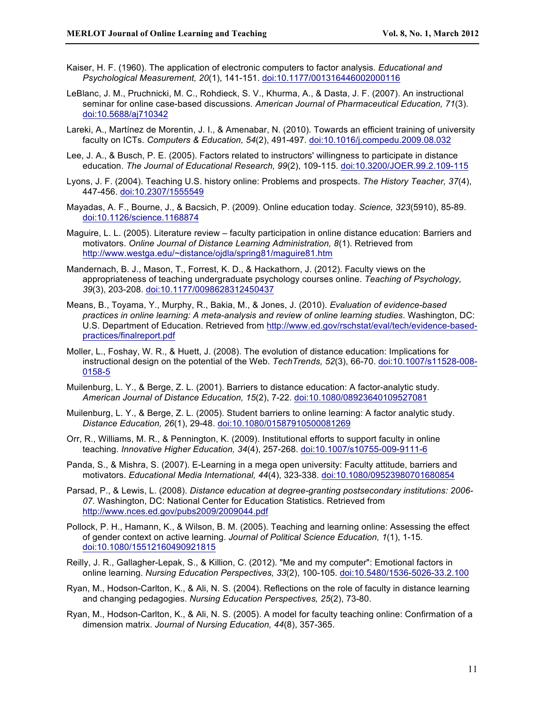- Kaiser, H. F. (1960). The application of electronic computers to factor analysis. *Educational and Psychological Measurement, 20*(1), 141-151. doi:10.1177/001316446002000116
- LeBlanc, J. M., Pruchnicki, M. C., Rohdieck, S. V., Khurma, A., & Dasta, J. F. (2007). An instructional seminar for online case-based discussions. *American Journal of Pharmaceutical Education, 71*(3). doi:10.5688/aj710342
- Lareki, A., Martínez de Morentin, J. I., & Amenabar, N. (2010). Towards an efficient training of university faculty on ICTs. *Computers & Education, 54*(2), 491-497. doi:10.1016/j.compedu.2009.08.032
- Lee, J. A., & Busch, P. E. (2005). Factors related to instructors' willingness to participate in distance education. *The Journal of Educational Research, 99*(2), 109-115. doi:10.3200/JOER.99.2.109-115
- Lyons, J. F. (2004). Teaching U.S. history online: Problems and prospects. *The History Teacher, 37*(4), 447-456. doi:10.2307/1555549
- Mayadas, A. F., Bourne, J., & Bacsich, P. (2009). Online education today. *Science, 323*(5910), 85-89. doi:10.1126/science.1168874
- Maguire, L. L. (2005). Literature review faculty participation in online distance education: Barriers and motivators. *Online Journal of Distance Learning Administration, 8*(1). Retrieved from http://www.westga.edu/~distance/ojdla/spring81/maguire81.htm
- Mandernach, B. J., Mason, T., Forrest, K. D., & Hackathorn, J. (2012). Faculty views on the appropriateness of teaching undergraduate psychology courses online. *Teaching of Psychology, 39*(3), 203-208. doi:10.1177/0098628312450437
- Means, B., Toyama, Y., Murphy, R., Bakia, M., & Jones, J. (2010). *Evaluation of evidence-based practices in online learning: A meta-analysis and review of online learning studies*. Washington, DC: U.S. Department of Education. Retrieved from http://www.ed.gov/rschstat/eval/tech/evidence-basedpractices/finalreport.pdf
- Moller, L., Foshay, W. R., & Huett, J. (2008). The evolution of distance education: Implications for instructional design on the potential of the Web. *TechTrends, 52*(3), 66-70. doi:10.1007/s11528-008- 0158-5
- Muilenburg, L. Y., & Berge, Z. L. (2001). Barriers to distance education: A factor-analytic study. *American Journal of Distance Education, 15*(2), 7-22. doi:10.1080/08923640109527081
- Muilenburg, L. Y., & Berge, Z. L. (2005). Student barriers to online learning: A factor analytic study. *Distance Education, 26*(1), 29-48. doi:10.1080/01587910500081269
- Orr, R., Williams, M. R., & Pennington, K. (2009). Institutional efforts to support faculty in online teaching. *Innovative Higher Education, 34*(4), 257-268. doi:10.1007/s10755-009-9111-6
- Panda, S., & Mishra, S. (2007). E-Learning in a mega open university: Faculty attitude, barriers and motivators. *Educational Media International, 44*(4), 323-338. doi:10.1080/09523980701680854
- Parsad, P., & Lewis, L. (2008). *Distance education at degree-granting postsecondary institutions: 2006- 07*. Washington, DC: National Center for Education Statistics. Retrieved from http://www.nces.ed.gov/pubs2009/2009044.pdf
- Pollock, P. H., Hamann, K., & Wilson, B. M. (2005). Teaching and learning online: Assessing the effect of gender context on active learning. *Journal of Political Science Education, 1*(1), 1-15. doi:10.1080/15512160490921815
- Reilly, J. R., Gallagher-Lepak, S., & Killion, C. (2012). "Me and my computer": Emotional factors in online learning. *Nursing Education Perspectives, 33*(2), 100-105. doi:10.5480/1536-5026-33.2.100
- Ryan, M., Hodson-Carlton, K., & Ali, N. S. (2004). Reflections on the role of faculty in distance learning and changing pedagogies. *Nursing Education Perspectives, 25*(2), 73-80.
- Ryan, M., Hodson-Carlton, K., & Ali, N. S. (2005). A model for faculty teaching online: Confirmation of a dimension matrix. *Journal of Nursing Education, 44*(8), 357-365.